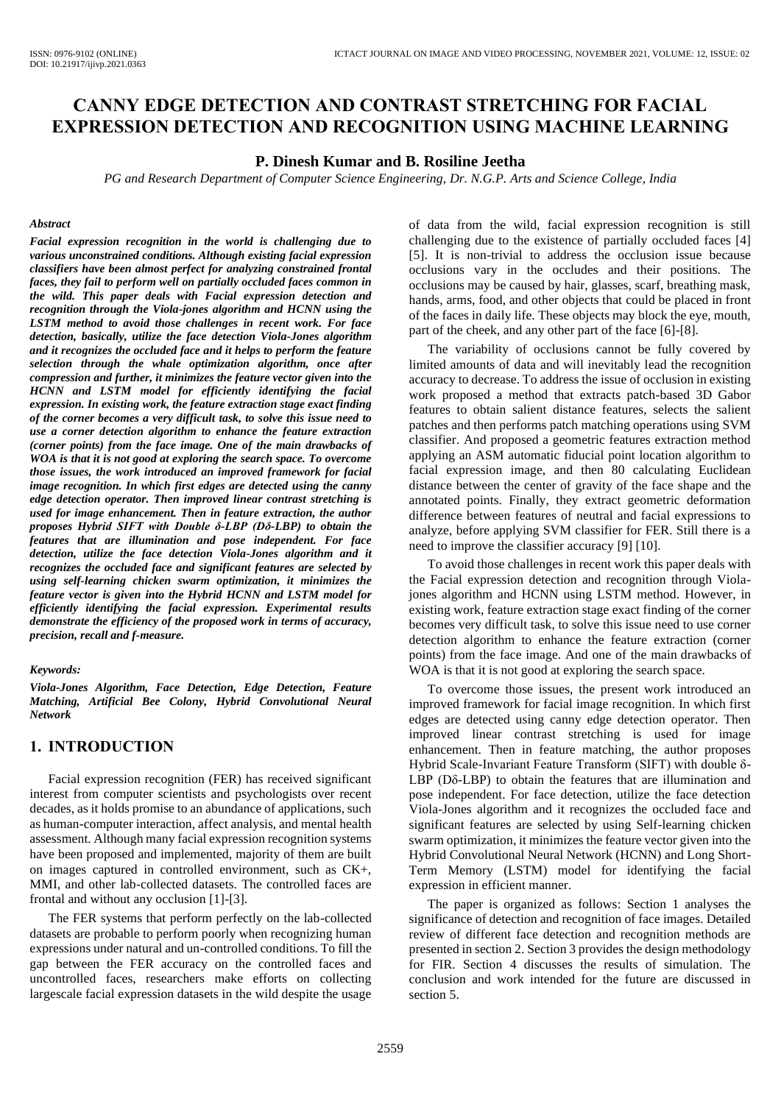# **CANNY EDGE DETECTION AND CONTRAST STRETCHING FOR FACIAL EXPRESSION DETECTION AND RECOGNITION USING MACHINE LEARNING**

#### **P. Dinesh Kumar and B. Rosiline Jeetha**

*PG and Research Department of Computer Science Engineering, Dr. N.G.P. Arts and Science College, India*

#### *Abstract*

*Facial expression recognition in the world is challenging due to various unconstrained conditions. Although existing facial expression classifiers have been almost perfect for analyzing constrained frontal faces, they fail to perform well on partially occluded faces common in the wild. This paper deals with Facial expression detection and recognition through the Viola-jones algorithm and HCNN using the LSTM method to avoid those challenges in recent work. For face detection, basically, utilize the face detection Viola-Jones algorithm and it recognizes the occluded face and it helps to perform the feature selection through the whale optimization algorithm, once after compression and further, it minimizes the feature vector given into the HCNN and LSTM model for efficiently identifying the facial expression. In existing work, the feature extraction stage exact finding of the corner becomes a very difficult task, to solve this issue need to use a corner detection algorithm to enhance the feature extraction (corner points) from the face image. One of the main drawbacks of WOA is that it is not good at exploring the search space. To overcome those issues, the work introduced an improved framework for facial image recognition. In which first edges are detected using the canny edge detection operator. Then improved linear contrast stretching is used for image enhancement. Then in feature extraction, the author proposes Hybrid SIFT with Double δ-LBP (Dδ-LBP) to obtain the features that are illumination and pose independent. For face detection, utilize the face detection Viola-Jones algorithm and it recognizes the occluded face and significant features are selected by using self-learning chicken swarm optimization, it minimizes the feature vector is given into the Hybrid HCNN and LSTM model for efficiently identifying the facial expression. Experimental results demonstrate the efficiency of the proposed work in terms of accuracy, precision, recall and f-measure.* 

#### *Keywords:*

*Viola-Jones Algorithm, Face Detection, Edge Detection, Feature Matching, Artificial Bee Colony, Hybrid Convolutional Neural Network*

# **1. INTRODUCTION**

Facial expression recognition (FER) has received significant interest from computer scientists and psychologists over recent decades, as it holds promise to an abundance of applications, such as human-computer interaction, affect analysis, and mental health assessment. Although many facial expression recognition systems have been proposed and implemented, majority of them are built on images captured in controlled environment, such as CK+, MMI, and other lab-collected datasets. The controlled faces are frontal and without any occlusion [1]-[3].

The FER systems that perform perfectly on the lab-collected datasets are probable to perform poorly when recognizing human expressions under natural and un-controlled conditions. To fill the gap between the FER accuracy on the controlled faces and uncontrolled faces, researchers make efforts on collecting largescale facial expression datasets in the wild despite the usage

of data from the wild, facial expression recognition is still challenging due to the existence of partially occluded faces [4] [5]. It is non-trivial to address the occlusion issue because occlusions vary in the occludes and their positions. The occlusions may be caused by hair, glasses, scarf, breathing mask, hands, arms, food, and other objects that could be placed in front of the faces in daily life. These objects may block the eye, mouth, part of the cheek, and any other part of the face [6]-[8].

The variability of occlusions cannot be fully covered by limited amounts of data and will inevitably lead the recognition accuracy to decrease. To address the issue of occlusion in existing work proposed a method that extracts patch-based 3D Gabor features to obtain salient distance features, selects the salient patches and then performs patch matching operations using SVM classifier. And proposed a geometric features extraction method applying an ASM automatic fiducial point location algorithm to facial expression image, and then 80 calculating Euclidean distance between the center of gravity of the face shape and the annotated points. Finally, they extract geometric deformation difference between features of neutral and facial expressions to analyze, before applying SVM classifier for FER. Still there is a need to improve the classifier accuracy [9] [10].

To avoid those challenges in recent work this paper deals with the Facial expression detection and recognition through Violajones algorithm and HCNN using LSTM method. However, in existing work, feature extraction stage exact finding of the corner becomes very difficult task, to solve this issue need to use corner detection algorithm to enhance the feature extraction (corner points) from the face image. And one of the main drawbacks of WOA is that it is not good at exploring the search space.

To overcome those issues, the present work introduced an improved framework for facial image recognition. In which first edges are detected using canny edge detection operator. Then improved linear contrast stretching is used for image enhancement. Then in feature matching, the author proposes Hybrid Scale-Invariant Feature Transform (SIFT) with double δ-LBP (Dδ-LBP) to obtain the features that are illumination and pose independent. For face detection, utilize the face detection Viola-Jones algorithm and it recognizes the occluded face and significant features are selected by using Self-learning chicken swarm optimization, it minimizes the feature vector given into the Hybrid Convolutional Neural Network (HCNN) and Long Short-Term Memory (LSTM) model for identifying the facial expression in efficient manner.

The paper is organized as follows: Section 1 analyses the significance of detection and recognition of face images. Detailed review of different face detection and recognition methods are presented in section 2. Section 3 provides the design methodology for FIR. Section 4 discusses the results of simulation. The conclusion and work intended for the future are discussed in section 5.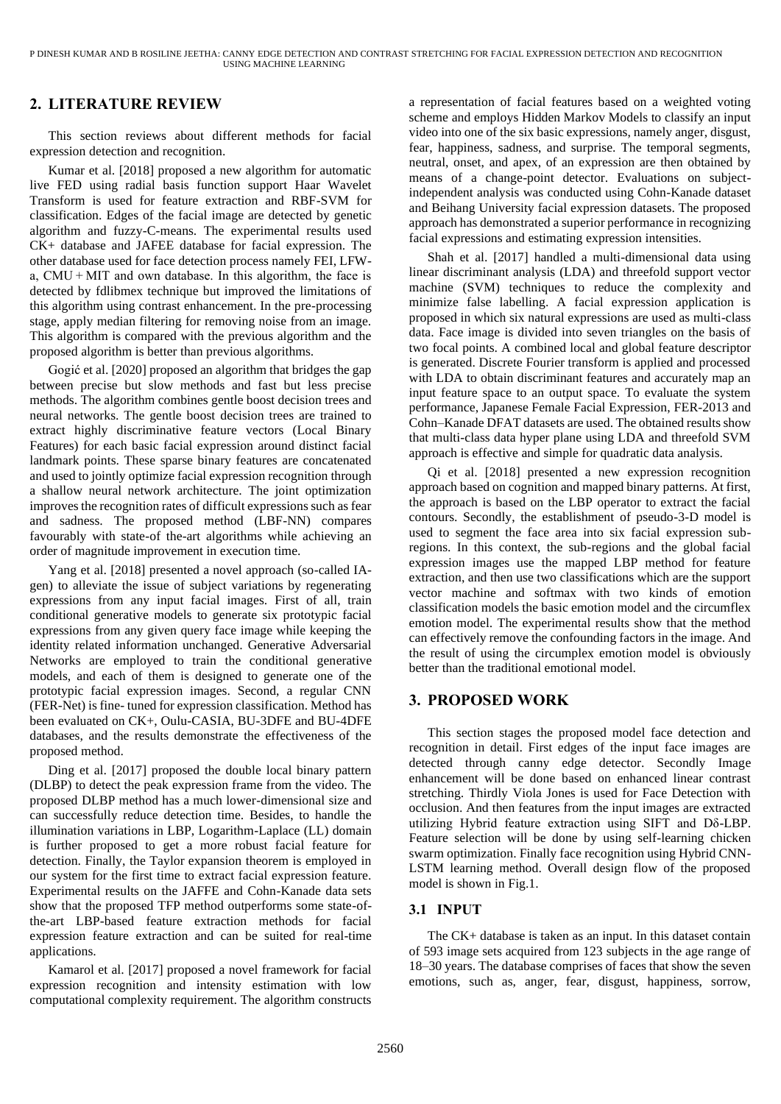# **2. LITERATURE REVIEW**

This section reviews about different methods for facial expression detection and recognition.

Kumar et al. [2018] proposed a new algorithm for automatic live FED using radial basis function support Haar Wavelet Transform is used for feature extraction and RBF-SVM for classification. Edges of the facial image are detected by genetic algorithm and fuzzy-C-means. The experimental results used CK+ database and JAFEE database for facial expression. The other database used for face detection process namely FEI, LFWa, CMU + MIT and own database. In this algorithm, the face is detected by fdlibmex technique but improved the limitations of this algorithm using contrast enhancement. In the pre-processing stage, apply median filtering for removing noise from an image. This algorithm is compared with the previous algorithm and the proposed algorithm is better than previous algorithms.

Gogić et al. [2020] proposed an algorithm that bridges the gap between precise but slow methods and fast but less precise methods. The algorithm combines gentle boost decision trees and neural networks. The gentle boost decision trees are trained to extract highly discriminative feature vectors (Local Binary Features) for each basic facial expression around distinct facial landmark points. These sparse binary features are concatenated and used to jointly optimize facial expression recognition through a shallow neural network architecture. The joint optimization improves the recognition rates of difficult expressions such as fear and sadness. The proposed method (LBF-NN) compares favourably with state-of the-art algorithms while achieving an order of magnitude improvement in execution time.

Yang et al. [2018] presented a novel approach (so-called IAgen) to alleviate the issue of subject variations by regenerating expressions from any input facial images. First of all, train conditional generative models to generate six prototypic facial expressions from any given query face image while keeping the identity related information unchanged. Generative Adversarial Networks are employed to train the conditional generative models, and each of them is designed to generate one of the prototypic facial expression images. Second, a regular CNN (FER-Net) is fine- tuned for expression classification. Method has been evaluated on CK+, Oulu-CASIA, BU-3DFE and BU-4DFE databases, and the results demonstrate the effectiveness of the proposed method.

Ding et al. [2017] proposed the double local binary pattern (DLBP) to detect the peak expression frame from the video. The proposed DLBP method has a much lower-dimensional size and can successfully reduce detection time. Besides, to handle the illumination variations in LBP, Logarithm-Laplace (LL) domain is further proposed to get a more robust facial feature for detection. Finally, the Taylor expansion theorem is employed in our system for the first time to extract facial expression feature. Experimental results on the JAFFE and Cohn-Kanade data sets show that the proposed TFP method outperforms some state-ofthe-art LBP-based feature extraction methods for facial expression feature extraction and can be suited for real-time applications.

Kamarol et al. [2017] proposed a novel framework for facial expression recognition and intensity estimation with low computational complexity requirement. The algorithm constructs a representation of facial features based on a weighted voting scheme and employs Hidden Markov Models to classify an input video into one of the six basic expressions, namely anger, disgust, fear, happiness, sadness, and surprise. The temporal segments, neutral, onset, and apex, of an expression are then obtained by means of a change-point detector. Evaluations on subjectindependent analysis was conducted using Cohn-Kanade dataset and Beihang University facial expression datasets. The proposed approach has demonstrated a superior performance in recognizing facial expressions and estimating expression intensities.

Shah et al. [2017] handled a multi-dimensional data using linear discriminant analysis (LDA) and threefold support vector machine (SVM) techniques to reduce the complexity and minimize false labelling. A facial expression application is proposed in which six natural expressions are used as multi-class data. Face image is divided into seven triangles on the basis of two focal points. A combined local and global feature descriptor is generated. Discrete Fourier transform is applied and processed with LDA to obtain discriminant features and accurately map an input feature space to an output space. To evaluate the system performance, Japanese Female Facial Expression, FER-2013 and Cohn–Kanade DFAT datasets are used. The obtained results show that multi-class data hyper plane using LDA and threefold SVM approach is effective and simple for quadratic data analysis.

Qi et al. [2018] presented a new expression recognition approach based on cognition and mapped binary patterns. At first, the approach is based on the LBP operator to extract the facial contours. Secondly, the establishment of pseudo-3-D model is used to segment the face area into six facial expression subregions. In this context, the sub-regions and the global facial expression images use the mapped LBP method for feature extraction, and then use two classifications which are the support vector machine and softmax with two kinds of emotion classification models the basic emotion model and the circumflex emotion model. The experimental results show that the method can effectively remove the confounding factors in the image. And the result of using the circumplex emotion model is obviously better than the traditional emotional model.

# **3. PROPOSED WORK**

This section stages the proposed model face detection and recognition in detail. First edges of the input face images are detected through canny edge detector. Secondly Image enhancement will be done based on enhanced linear contrast stretching. Thirdly Viola Jones is used for Face Detection with occlusion. And then features from the input images are extracted utilizing Hybrid feature extraction using SIFT and Dδ-LBP. Feature selection will be done by using self-learning chicken swarm optimization. Finally face recognition using Hybrid CNN-LSTM learning method. Overall design flow of the proposed model is shown in Fig.1.

# **3.1 INPUT**

The CK+ database is taken as an input. In this dataset contain of 593 image sets acquired from 123 subjects in the age range of 18–30 years. The database comprises of faces that show the seven emotions, such as, anger, fear, disgust, happiness, sorrow,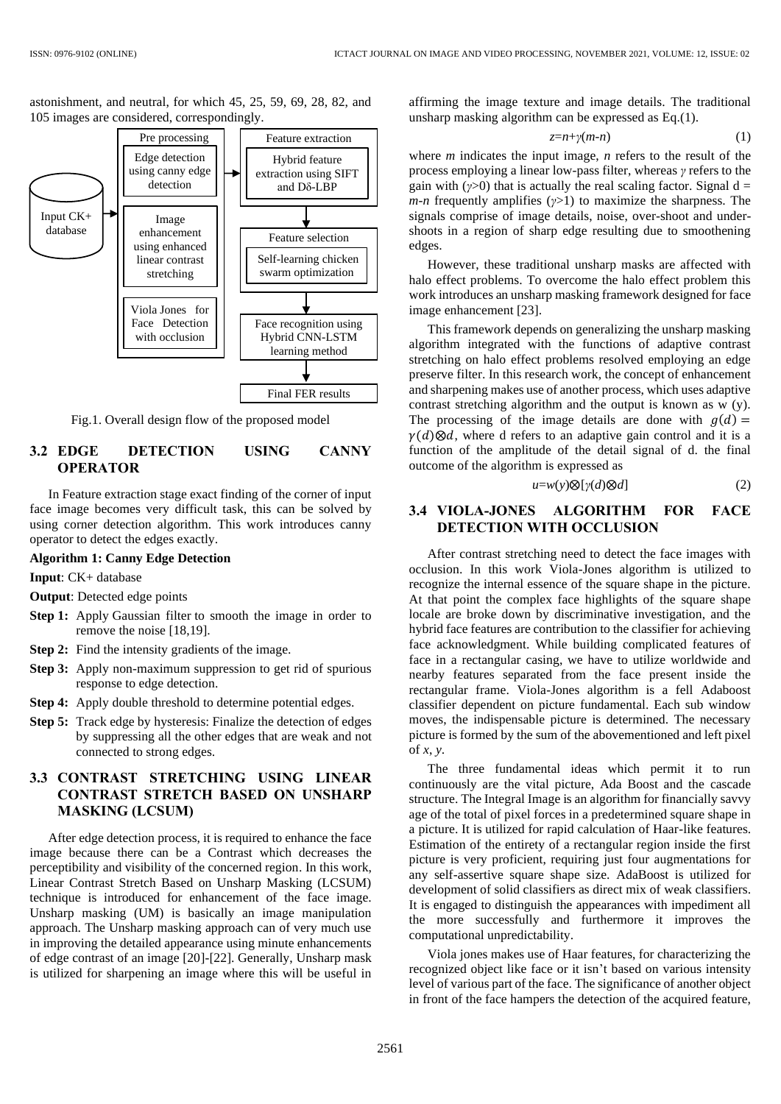astonishment, and neutral, for which 45, 25, 59, 69, 28, 82, and 105 images are considered, correspondingly.



Fig.1. Overall design flow of the proposed model

# **3.2 EDGE DETECTION USING CANNY OPERATOR**

In Feature extraction stage exact finding of the corner of input face image becomes very difficult task, this can be solved by using corner detection algorithm. This work introduces canny operator to detect the edges exactly.

## **Algorithm 1: Canny Edge Detection**

**Input**: CK+ database

- **Output**: Detected edge points
- **Step 1:** Apply [Gaussian filter](https://en.wikipedia.org/wiki/Gaussian_filter) to smooth the image in order to remove the noise [18,19].
- **Step 2:** Find the intensity gradients of the image.
- **Step 3:** Apply non-maximum suppression to get rid of spurious response to edge detection.
- **Step 4:** Apply double threshold to determine potential edges.
- **Step 5:** Track edge by [hysteresis:](https://en.wikipedia.org/wiki/Hysteresis) Finalize the detection of edges by suppressing all the other edges that are weak and not connected to strong edges.

# **3.3 CONTRAST STRETCHING USING LINEAR CONTRAST STRETCH BASED ON UNSHARP MASKING (LCSUM)**

After edge detection process, it is required to enhance the face image because there can be a Contrast which decreases the perceptibility and visibility of the concerned region. In this work, Linear Contrast Stretch Based on Unsharp Masking (LCSUM) technique is introduced for enhancement of the face image. Unsharp masking (UM) is basically an image manipulation approach. The Unsharp masking approach can of very much use in improving the detailed appearance using minute enhancements of edge contrast of an image [20]-[22]. Generally, Unsharp mask is utilized for sharpening an image where this will be useful in affirming the image texture and image details. The traditional unsharp masking algorithm can be expressed as Eq.(1).

*z*=*n*+*γ*(*m*-*n*) (1)

where *m* indicates the input image, *n* refers to the result of the process employing a linear low-pass filter, whereas *γ* refers to the gain with  $(y>0)$  that is actually the real scaling factor. Signal d = *m*-*n* frequently amplifies (*γ*>1) to maximize the sharpness. The signals comprise of image details, noise, over-shoot and undershoots in a region of sharp edge resulting due to smoothening edges.

However, these traditional unsharp masks are affected with halo effect problems. To overcome the halo effect problem this work introduces an unsharp masking framework designed for face image enhancement [23].

This framework depends on generalizing the unsharp masking algorithm integrated with the functions of adaptive contrast stretching on halo effect problems resolved employing an edge preserve filter. In this research work, the concept of enhancement and sharpening makes use of another process, which uses adaptive contrast stretching algorithm and the output is known as w (y). The processing of the image details are done with  $g(d) =$  $\gamma(d) \otimes d$ , where d refers to an adaptive gain control and it is a function of the amplitude of the detail signal of d. the final outcome of the algorithm is expressed as

$$
u = w(y) \otimes [\gamma(d) \otimes d] \tag{2}
$$

# **3.4 VIOLA-JONES ALGORITHM FOR FACE DETECTION WITH OCCLUSION**

After contrast stretching need to detect the face images with occlusion. In this work Viola-Jones algorithm is utilized to recognize the internal essence of the square shape in the picture. At that point the complex face highlights of the square shape locale are broke down by discriminative investigation, and the hybrid face features are contribution to the classifier for achieving face acknowledgment. While building complicated features of face in a rectangular casing, we have to utilize worldwide and nearby features separated from the face present inside the rectangular frame. Viola-Jones algorithm is a fell Adaboost classifier dependent on picture fundamental. Each sub window moves, the indispensable picture is determined. The necessary picture is formed by the sum of the abovementioned and left pixel of *x*, *y*.

The three fundamental ideas which permit it to run continuously are the vital picture, Ada Boost and the cascade structure. The Integral Image is an algorithm for financially savvy age of the total of pixel forces in a predetermined square shape in a picture. It is utilized for rapid calculation of Haar-like features. Estimation of the entirety of a rectangular region inside the first picture is very proficient, requiring just four augmentations for any self-assertive square shape size. AdaBoost is utilized for development of solid classifiers as direct mix of weak classifiers. It is engaged to distinguish the appearances with impediment all the more successfully and furthermore it improves the computational unpredictability.

Viola jones makes use of Haar features, for characterizing the recognized object like face or it isn't based on various intensity level of various part of the face. The significance of another object in front of the face hampers the detection of the acquired feature,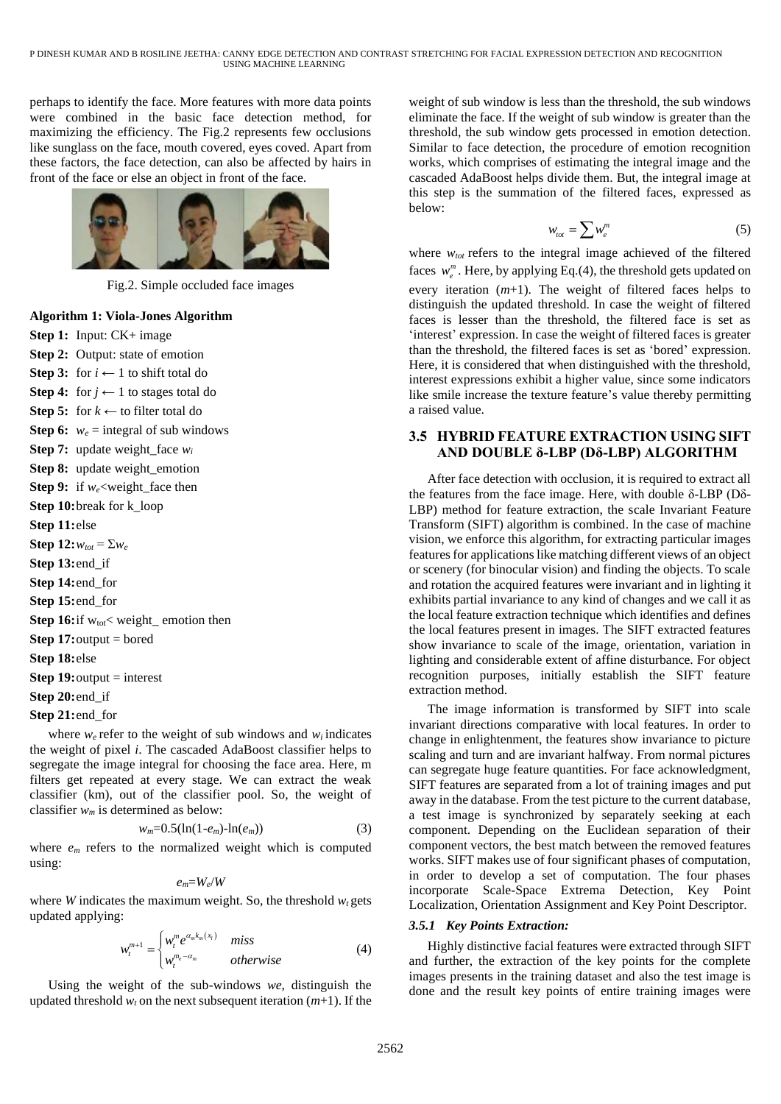perhaps to identify the face. More features with more data points were combined in the basic face detection method, for maximizing the efficiency. The Fig.2 represents few occlusions like sunglass on the face, mouth covered, eyes coved. Apart from these factors, the face detection, can also be affected by hairs in front of the face or else an object in front of the face.



Fig.2. Simple occluded face images

## **Algorithm 1: Viola-Jones Algorithm**

**Step 1:** Input: CK+ image **Step 2:** Output: state of emotion **Step 3:** for  $i \leftarrow 1$  to shift total do **Step 4:** for  $j \leftarrow 1$  to stages total do **Step 5:** for  $k \leftarrow$  to filter total do **Step 6:**  $w_e$  = integral of sub windows **Step 7:** update weight face  $w_i$ **Step 8:** update weight\_emotion **Step 9:** if *we*<weight\_face then **Step 10:**break for k\_loop **Step 11:**else **Step 12:** $w_{tot} = \sum w_e$ **Step 13:**end\_if **Step 14:**end\_for **Step 15:**end\_for **Step 16:**if  $w_{tot}$ < weight\_ emotion then **Step 17:** output = bored **Step 18:**else **Step 19:** output = interest **Step 20:**end\_if **Step 21:**end\_for

where  $w_e$  refer to the weight of sub windows and  $w_i$  indicates the weight of pixel *i*. The cascaded AdaBoost classifier helps to segregate the image integral for choosing the face area. Here, m filters get repeated at every stage. We can extract the weak classifier (km), out of the classifier pool. So, the weight of classifier *w<sup>m</sup>* is determined as below:

$$
w_m=0.5(\ln(1-e_m)-\ln(e_m))\tag{3}
$$

where  $e_m$  refers to the normalized weight which is computed using:

$$
e_m = W_e/W
$$

where *W* indicates the maximum weight. So, the threshold  $w_t$  gets updated applying:

$$
w_t^{m+1} = \begin{cases} w_t^m e^{\alpha_m k_m(x_t)} & \text{miss} \\ w_t^{m_e - \alpha_m} & \text{otherwise} \end{cases}
$$
 (4)

Using the weight of the sub-windows *we*, distinguish the updated threshold  $w_t$  on the next subsequent iteration  $(m+1)$ . If the

weight of sub window is less than the threshold, the sub windows eliminate the face. If the weight of sub window is greater than the threshold, the sub window gets processed in emotion detection. Similar to face detection, the procedure of emotion recognition works, which comprises of estimating the integral image and the cascaded AdaBoost helps divide them. But, the integral image at this step is the summation of the filtered faces, expressed as below:

$$
w_{\text{tot}} = \sum w_e^m \tag{5}
$$

where  $w_{tot}$  refers to the integral image achieved of the filtered faces  $w_e^m$ . Here, by applying Eq.(4), the threshold gets updated on every iteration (*m*+1). The weight of filtered faces helps to distinguish the updated threshold. In case the weight of filtered faces is lesser than the threshold, the filtered face is set as 'interest' expression. In case the weight of filtered faces is greater than the threshold, the filtered faces is set as 'bored' expression. Here, it is considered that when distinguished with the threshold, interest expressions exhibit a higher value, since some indicators like smile increase the texture feature's value thereby permitting a raised value.

# **3.5 HYBRID FEATURE EXTRACTION USING SIFT AND DOUBLE δ-LBP (Dδ-LBP) ALGORITHM**

After face detection with occlusion, it is required to extract all the features from the face image. Here, with double δ-LBP (Dδ-LBP) method for feature extraction, the scale Invariant Feature Transform (SIFT) algorithm is combined. In the case of machine vision, we enforce this algorithm, for extracting particular images features for applications like matching different views of an object or scenery (for binocular vision) and finding the objects. To scale and rotation the acquired features were invariant and in lighting it exhibits partial invariance to any kind of changes and we call it as the local feature extraction technique which identifies and defines the local features present in images. The SIFT extracted features show invariance to scale of the image, orientation, variation in lighting and considerable extent of affine disturbance. For object recognition purposes, initially establish the SIFT feature extraction method.

The image information is transformed by SIFT into scale invariant directions comparative with local features. In order to change in enlightenment, the features show invariance to picture scaling and turn and are invariant halfway. From normal pictures can segregate huge feature quantities. For face acknowledgment, SIFT features are separated from a lot of training images and put away in the database. From the test picture to the current database, a test image is synchronized by separately seeking at each component. Depending on the Euclidean separation of their component vectors, the best match between the removed features works. SIFT makes use of four significant phases of computation, in order to develop a set of computation. The four phases incorporate Scale-Space Extrema Detection, Key Point Localization, Orientation Assignment and Key Point Descriptor.

#### *3.5.1 Key Points Extraction:*

Highly distinctive facial features were extracted through SIFT and further, the extraction of the key points for the complete images presents in the training dataset and also the test image is done and the result key points of entire training images were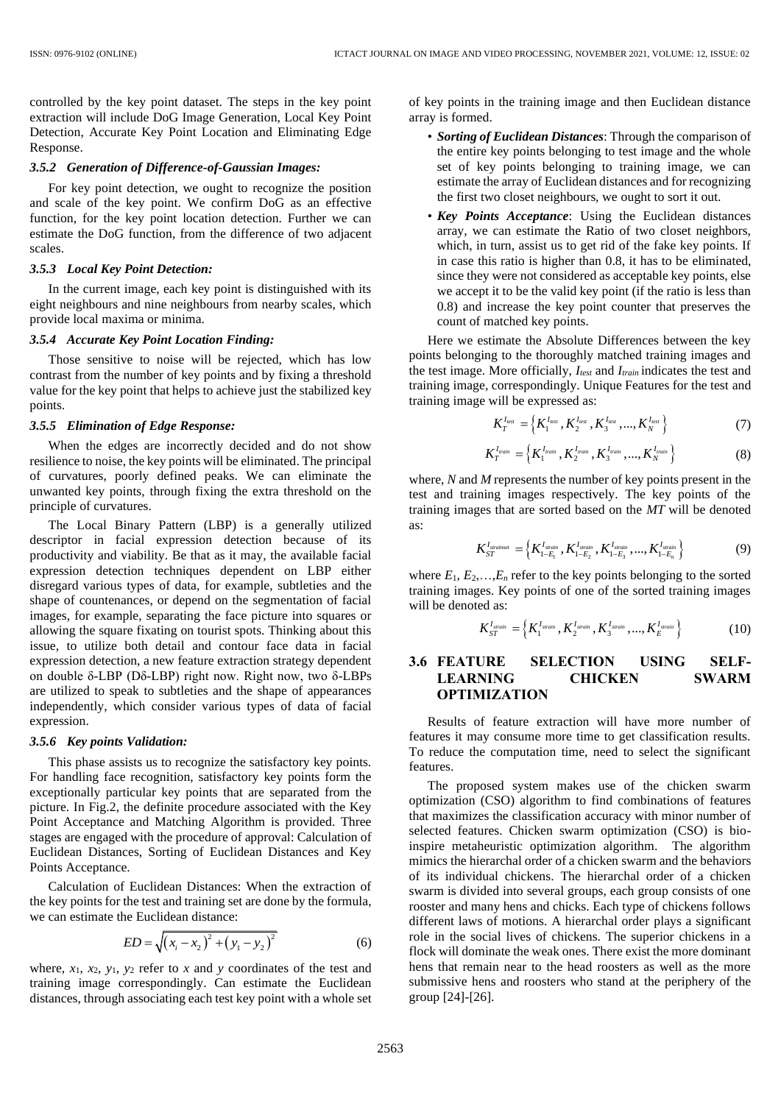controlled by the key point dataset. The steps in the key point extraction will include DoG Image Generation, Local Key Point Detection, Accurate Key Point Location and Eliminating Edge Response.

## *3.5.2 Generation of Difference-of-Gaussian Images:*

For key point detection, we ought to recognize the position and scale of the key point. We confirm DoG as an effective function, for the key point location detection. Further we can estimate the DoG function, from the difference of two adjacent scales.

#### *3.5.3 Local Key Point Detection:*

In the current image, each key point is distinguished with its eight neighbours and nine neighbours from nearby scales, which provide local maxima or minima.

#### *3.5.4 Accurate Key Point Location Finding:*

Those sensitive to noise will be rejected, which has low contrast from the number of key points and by fixing a threshold value for the key point that helps to achieve just the stabilized key points.

#### *3.5.5 Elimination of Edge Response:*

When the edges are incorrectly decided and do not show resilience to noise, the key points will be eliminated. The principal of curvatures, poorly defined peaks. We can eliminate the unwanted key points, through fixing the extra threshold on the principle of curvatures.

The Local Binary Pattern (LBP) is a generally utilized descriptor in facial expression detection because of its productivity and viability. Be that as it may, the available facial expression detection techniques dependent on LBP either disregard various types of data, for example, subtleties and the shape of countenances, or depend on the segmentation of facial images, for example, separating the face picture into squares or allowing the square fixating on tourist spots. Thinking about this issue, to utilize both detail and contour face data in facial expression detection, a new feature extraction strategy dependent on double δ-LBP (Dδ-LBP) right now. Right now, two δ-LBPs are utilized to speak to subtleties and the shape of appearances independently, which consider various types of data of facial expression.

#### *3.5.6 Key points Validation:*

This phase assists us to recognize the satisfactory key points. For handling face recognition, satisfactory key points form the exceptionally particular key points that are separated from the picture. In Fig.2, the definite procedure associated with the Key Point Acceptance and Matching Algorithm is provided. Three stages are engaged with the procedure of approval: Calculation of Euclidean Distances, Sorting of Euclidean Distances and Key Points Acceptance.

Calculation of Euclidean Distances: When the extraction of the key points for the test and training set are done by the formula, we can estimate the Euclidean distance:

$$
ED = \sqrt{(x_i - x_2)^2 + (y_1 - y_2)^2}
$$
 (6)

where,  $x_1$ ,  $x_2$ ,  $y_1$ ,  $y_2$  refer to  $x$  and  $y$  coordinates of the test and training image correspondingly. Can estimate the Euclidean distances, through associating each test key point with a whole set of key points in the training image and then Euclidean distance array is formed.

- *Sorting of Euclidean Distances*: Through the comparison of the entire key points belonging to test image and the whole set of key points belonging to training image, we can estimate the array of Euclidean distances and for recognizing the first two closet neighbours, we ought to sort it out.
- *Key Points Acceptance*: Using the Euclidean distances array, we can estimate the Ratio of two closet neighbors, which, in turn, assist us to get rid of the fake key points. If in case this ratio is higher than 0.8, it has to be eliminated, since they were not considered as acceptable key points, else we accept it to be the valid key point (if the ratio is less than 0.8) and increase the key point counter that preserves the count of matched key points.

Here we estimate the Absolute Differences between the key points belonging to the thoroughly matched training images and the test image. More officially, *Itest* and *Itrain* indicates the test and training image, correspondingly. Unique Features for the test and training image will be expressed as:

$$
K_{T}^{I_{test}} = \left\{ K_{1}^{I_{test}}, K_{2}^{I_{test}}, K_{3}^{I_{test}}, ..., K_{N}^{I_{test}} \right\}
$$
 (7)

$$
K_T^{I_{train}} = \left\{ K_1^{I_{train}}, K_2^{I_{train}}, K_3^{I_{train}}, ..., K_N^{I_{train}} \right\}
$$
 (8)

where, *N* and *M* represents the number of key points present in the test and training images respectively. The key points of the training images that are sorted based on the *MT* will be denoted as:

$$
K_{ST}^{I_{\text{strained}}} = \left\{ K_{1-E_1}^{I_{\text{strain}}}, K_{1-E_2}^{I_{\text{strain}}}, K_{1-E_3}^{I_{\text{strain}}}, ..., K_{1-E_n}^{I_{\text{strain}}}\right\}
$$
(9)

where  $E_1, E_2, \ldots, E_n$  refer to the key points belonging to the sorted training images. Key points of one of the sorted training images will be denoted as:

$$
K_{ST}^{I_{strain}} = \left\{ K_1^{I_{strain}}, K_2^{I_{strain}}, K_3^{I_{strain}}, ..., K_E^{I_{strain}} \right\}
$$
 (10)

# **3.6 FEATURE SELECTION USING SELF-LEARNING CHICKEN SWARM OPTIMIZATION**

Results of feature extraction will have more number of features it may consume more time to get classification results. To reduce the computation time, need to select the significant features.

The proposed system makes use of the chicken swarm optimization (CSO) algorithm to find combinations of features that maximizes the classification accuracy with minor number of selected features. Chicken swarm optimization (CSO) is bioinspire metaheuristic optimization algorithm. The algorithm mimics the hierarchal order of a chicken swarm and the behaviors of its individual chickens. The hierarchal order of a chicken swarm is divided into several groups, each group consists of one rooster and many hens and chicks. Each type of chickens follows different laws of motions. A hierarchal order plays a significant role in the social lives of chickens. The superior chickens in a flock will dominate the weak ones. There exist the more dominant hens that remain near to the head roosters as well as the more submissive hens and roosters who stand at the periphery of the group [24]-[26].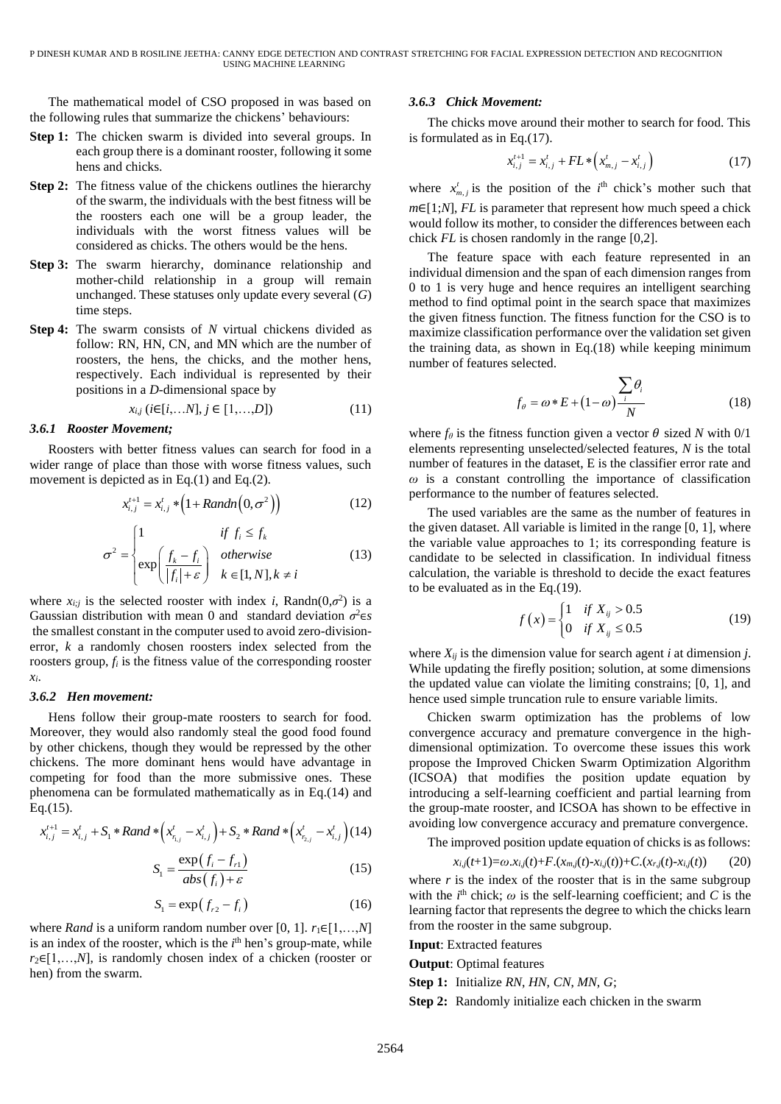The mathematical model of CSO proposed in was based on the following rules that summarize the chickens' behaviours:

- **Step 1:** The chicken swarm is divided into several groups. In each group there is a dominant rooster, following it some hens and chicks.
- **Step 2:** The fitness value of the chickens outlines the hierarchy of the swarm, the individuals with the best fitness will be the roosters each one will be a group leader, the individuals with the worst fitness values will be considered as chicks. The others would be the hens.
- **Step 3:** The swarm hierarchy, dominance relationship and mother-child relationship in a group will remain unchanged. These statuses only update every several (*G*) time steps.
- **Step 4:** The swarm consists of *N* virtual chickens divided as follow: RN, HN, CN, and MN which are the number of roosters, the hens, the chicks, and the mother hens, respectively. Each individual is represented by their positions in a *D*-dimensional space by

$$
x_{i,j} \ (i \in [i, \dots N], j \in [1, \dots, D]) \tag{11}
$$

#### *3.6.1 Rooster Movement;*

Roosters with better fitness values can search for food in a wider range of place than those with worse fitness values, such movement is depicted as in Eq.(1) and Eq.(2).

$$
x_{i,j}^{t+1} = x_{i,j}^t * (1 + Random(0, \sigma^2))
$$
 (12)

$$
\sigma^2 = \begin{cases} 1 & \text{if } f_i \le f_k \\ \exp\left(\frac{f_k - f_i}{|f_i| + \varepsilon}\right) & otherwise \\ k \in [1, N], k \neq i \end{cases}
$$
 (13)

where  $x_{i;j}$  is the selected rooster with index *i*, Randn(0, $\sigma^2$ ) is a Gaussian distribution with mean 0 and standard deviation *σ* <sup>2</sup>∈*s* the smallest constant in the computer used to avoid zero-divisionerror, *k* a randomly chosen roosters index selected from the roosters group,  $f_i$  is the fitness value of the corresponding rooster *xi*.

#### *3.6.2 Hen movement:*

Hens follow their group-mate roosters to search for food. Moreover, they would also randomly steal the good food found by other chickens, though they would be repressed by the other chickens. The more dominant hens would have advantage in competing for food than the more submissive ones. These phenomena can be formulated mathematically as in Eq.(14) and Eq.(15).

q.(15).  
\n
$$
x_{i,j}^{t+1} = x_{i,j}^t + S_1 * Rand * (x_{n,j}^t - x_{i,j}^t) + S_2 * Rand * (x_{n,j}^t - x_{i,j}^t) (14)
$$

$$
S_1 = \frac{\exp\left(f_i - f_{r1}\right)}{abs\left(f_i\right) + \varepsilon} \tag{15}
$$

$$
S_1 = \exp\left(f_{r2} - f_i\right) \tag{16}
$$

where *Rand* is a uniform random number over [0, 1].  $r_1 \in [1,...,N]$ is an index of the rooster, which is the  $i<sup>th</sup>$  hen's group-mate, while *r*<sub>2</sub>∈[1,...,*N*], is randomly chosen index of a chicken (rooster or hen) from the swarm.

#### *3.6.3 Chick Movement:*

The chicks move around their mother to search for food. This is formulated as in Eq.(17).

$$
x_{i,j}^{t+1} = x_{i,j}^t + FL * (x_{m,j}^t - x_{i,j}^t)
$$
 (17)

where  $x_{m,j}^t$  is the position of the  $i^{\text{th}}$  chick's mother such that *m*∈[1;*N*], *FL* is parameter that represent how much speed a chick would follow its mother, to consider the differences between each chick *FL* is chosen randomly in the range [0,2].

The feature space with each feature represented in an individual dimension and the span of each dimension ranges from 0 to 1 is very huge and hence requires an intelligent searching method to find optimal point in the search space that maximizes the given fitness function. The fitness function for the CSO is to maximize classification performance over the validation set given the training data, as shown in Eq.(18) while keeping minimum number of features selected.

$$
f_{\theta} = \omega * E + (1 - \omega) \frac{\sum_{i} \theta_{i}}{N}
$$
 (18)

where  $f_\theta$  is the fitness function given a vector  $\theta$  sized *N* with 0/1 elements representing unselected/selected features, *N* is the total number of features in the dataset, E is the classifier error rate and *ω* is a constant controlling the importance of classification performance to the number of features selected.

The used variables are the same as the number of features in the given dataset. All variable is limited in the range [0, 1], where the variable value approaches to 1; its corresponding feature is candidate to be selected in classification. In individual fitness calculation, the variable is threshold to decide the exact features to be evaluated as in the Eq.(19).

$$
f(x) = \begin{cases} 1 & \text{if } X_{ij} > 0.5\\ 0 & \text{if } X_{ij} \le 0.5 \end{cases}
$$
 (19)

where *Xij* is the dimension value for search agent *i* at dimension *j*. While updating the firefly position; solution, at some dimensions the updated value can violate the limiting constrains; [0, 1], and hence used simple truncation rule to ensure variable limits.

Chicken swarm optimization has the problems of low convergence accuracy and premature convergence in the highdimensional optimization. To overcome these issues this work propose the Improved Chicken Swarm Optimization Algorithm (ICSOA) that modifies the position update equation by introducing a self-learning coefficient and partial learning from the group-mate rooster, and ICSOA has shown to be effective in avoiding low convergence accuracy and premature convergence.

The improved position update equation of chicks is as follows:

$$
x_{i,j}(t+1) = \omega \cdot x_{i,j}(t) + F \cdot (x_{m,j}(t) - x_{i,j}(t)) + C \cdot (x_{r,j}(t) - x_{i,j}(t)) \tag{20}
$$

where  $r$  is the index of the rooster that is in the same subgroup with the  $i<sup>th</sup>$  chick;  $\omega$  is the self-learning coefficient; and *C* is the learning factor that represents the degree to which the chicks learn from the rooster in the same subgroup.

**Input**: Extracted features

**Output**: Optimal features

**Step 1:** Initialize *RN*, *HN*, *CN*, *MN*, *G*;

**Step 2:** Randomly initialize each chicken in the swarm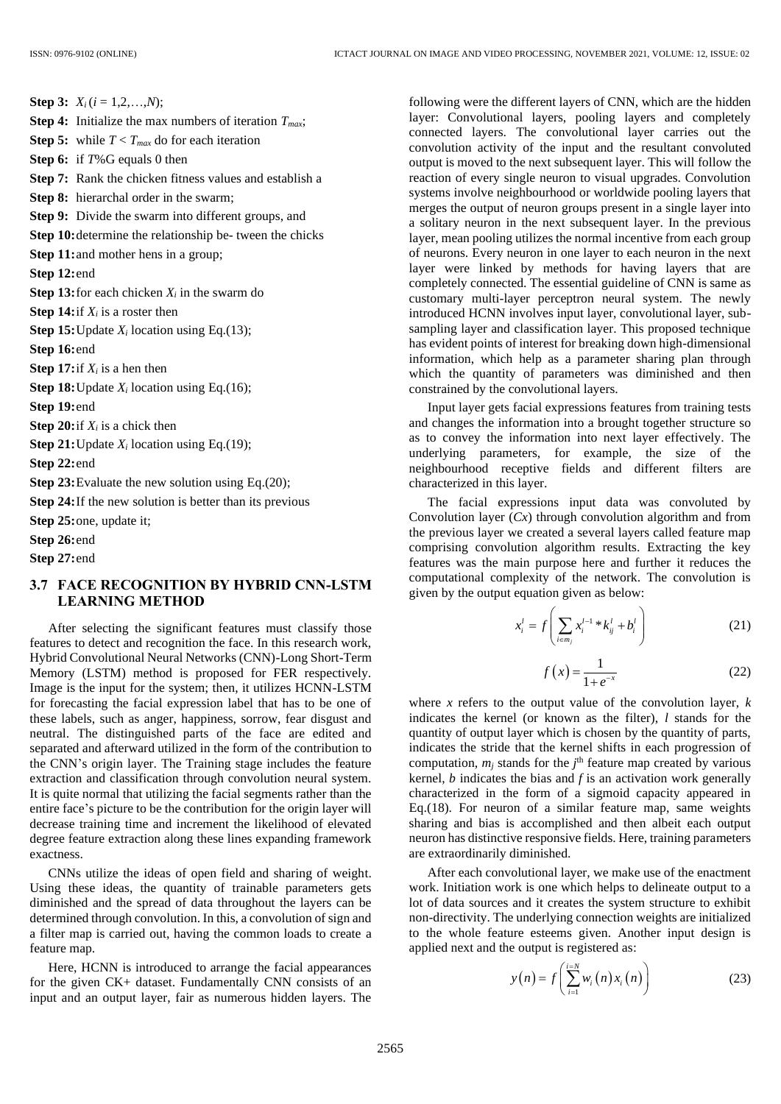**Step 3:**  $X_i$  ( $i = 1, 2, ..., N$ ); **Step 4:** Initialize the max numbers of iteration *Tmax*; **Step 5:** while  $T < T_{max}$  do for each iteration **Step 6:** if *T*%G equals 0 then **Step 7:** Rank the chicken fitness values and establish a **Step 8:** hierarchal order in the swarm; **Step 9:** Divide the swarm into different groups, and **Step 10:**determine the relationship be- tween the chicks **Step 11:** and mother hens in a group; **Step 12:**end **Step 13:** for each chicken  $X_i$  in the swarm do **Step 14:**if *X<sup>i</sup>* is a roster then **Step 15:** Update  $X_i$  location using Eq.(13); **Step 16:**end **Step 17:** if  $X_i$  is a hen then **Step 18:** Update  $X_i$  location using Eq.(16); **Step 19:**end **Step 20:**if *X<sup>i</sup>* is a chick then **Step 21:** Update  $X_i$  location using Eq.(19); **Step 22:**end **Step 23:** Evaluate the new solution using Eq.(20); **Step 24:**If the new solution is better than its previous **Step 25:**one, update it; **Step 26:**end **Step 27:**end **3.7 FACE RECOGNITION BY HYBRID CNN-LSTM** 

# **LEARNING METHOD**

After selecting the significant features must classify those features to detect and recognition the face. In this research work, Hybrid Convolutional Neural Networks (CNN)-Long Short-Term Memory (LSTM) method is proposed for FER respectively. Image is the input for the system; then, it utilizes HCNN-LSTM for forecasting the facial expression label that has to be one of these labels, such as anger, happiness, sorrow, fear disgust and neutral. The distinguished parts of the face are edited and separated and afterward utilized in the form of the contribution to the CNN's origin layer. The Training stage includes the feature extraction and classification through convolution neural system. It is quite normal that utilizing the facial segments rather than the entire face's picture to be the contribution for the origin layer will decrease training time and increment the likelihood of elevated degree feature extraction along these lines expanding framework exactness.

CNNs utilize the ideas of open field and sharing of weight. Using these ideas, the quantity of trainable parameters gets diminished and the spread of data throughout the layers can be determined through convolution. In this, a convolution of sign and a filter map is carried out, having the common loads to create a feature map.

Here, HCNN is introduced to arrange the facial appearances for the given CK+ dataset. Fundamentally CNN consists of an input and an output layer, fair as numerous hidden layers. The following were the different layers of CNN, which are the hidden layer: Convolutional layers, pooling layers and completely connected layers. The convolutional layer carries out the convolution activity of the input and the resultant convoluted output is moved to the next subsequent layer. This will follow the reaction of every single neuron to visual upgrades. Convolution systems involve neighbourhood or worldwide pooling layers that merges the output of neuron groups present in a single layer into a solitary neuron in the next subsequent layer. In the previous layer, mean pooling utilizes the normal incentive from each group of neurons. Every neuron in one layer to each neuron in the next layer were linked by methods for having layers that are completely connected. The essential guideline of CNN is same as customary multi-layer perceptron neural system. The newly introduced HCNN involves input layer, convolutional layer, subsampling layer and classification layer. This proposed technique has evident points of interest for breaking down high-dimensional information, which help as a parameter sharing plan through which the quantity of parameters was diminished and then constrained by the convolutional layers.

Input layer gets facial expressions features from training tests and changes the information into a brought together structure so as to convey the information into next layer effectively. The underlying parameters, for example, the size of the neighbourhood receptive fields and different filters are characterized in this layer.

The facial expressions input data was convoluted by Convolution layer (*Cx*) through convolution algorithm and from the previous layer we created a several layers called feature map comprising convolution algorithm results. Extracting the key features was the main purpose here and further it reduces the computational complexity of the network. The convolution is given by the output equation given as below:

$$
x_i^l = f\left(\sum_{i \in m_j} x_i^{l-1} * k_{ij}^l + b_i^l\right)
$$
 (21)

$$
f(x) = \frac{1}{1 + e^{-x}}
$$
 (22)

where *x* refers to the output value of the convolution layer,  $k$ indicates the kernel (or known as the filter), *l* stands for the quantity of output layer which is chosen by the quantity of parts, indicates the stride that the kernel shifts in each progression of computation,  $m_j$  stands for the  $j^{\text{th}}$  feature map created by various kernel, *b* indicates the bias and *f* is an activation work generally characterized in the form of a sigmoid capacity appeared in Eq.(18). For neuron of a similar feature map, same weights sharing and bias is accomplished and then albeit each output neuron has distinctive responsive fields. Here, training parameters are extraordinarily diminished.

After each convolutional layer, we make use of the enactment work. Initiation work is one which helps to delineate output to a lot of data sources and it creates the system structure to exhibit non-directivity. The underlying connection weights are initialized to the whole feature esteems given. Another input design is applied next and the output is registered as:

$$
y(n) = f\left(\sum_{i=1}^{i=N} w_i(n) x_i(n)\right)
$$
 (23)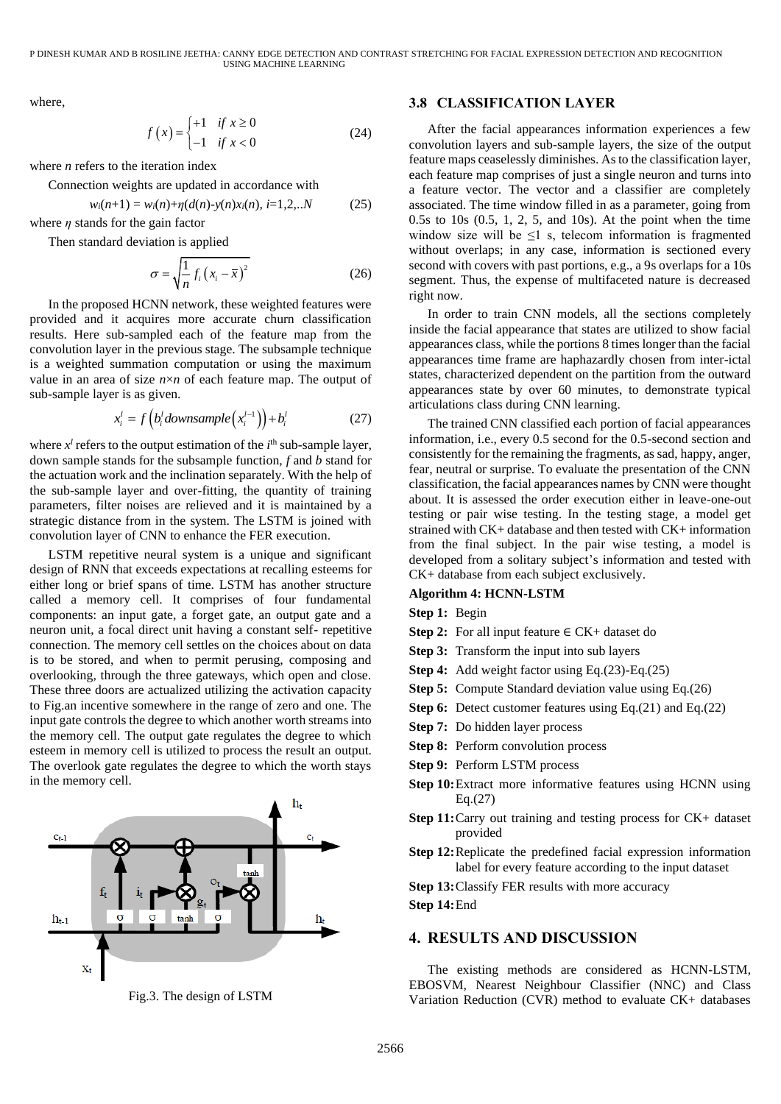P DINESH KUMAR AND B ROSILINE JEETHA: CANNY EDGE DETECTION AND CONTRAST STRETCHING FOR FACIAL EXPRESSION DETECTION AND RECOGNITION USING MACHINE LEARNING

where,

$$
f(x) = \begin{cases} +1 & \text{if } x \ge 0 \\ -1 & \text{if } x < 0 \end{cases}
$$
 (24)

where *n* refers to the iteration index

Connection weights are updated in accordance with

$$
w_i(n+1) = w_i(n) + \eta(d(n) - y(n)x_i(n), i=1,2,..N \qquad (25)
$$

where  $\eta$  stands for the gain factor

Then standard deviation is applied

$$
\sigma = \sqrt{\frac{1}{n} f_i (x_i - \overline{x})^2}
$$
 (26)

In the proposed HCNN network, these weighted features were provided and it acquires more accurate churn classification results. Here sub-sampled each of the feature map from the convolution layer in the previous stage. The subsample technique is a weighted summation computation or using the maximum value in an area of size *n*×*n* of each feature map. The output of sub-sample layer is as given.

$$
x_i^l = f\left(b_i^l \,downsample\left(x_i^{l-1}\right)\right) + b_i^l \tag{27}
$$

where  $x^l$  refers to the output estimation of the  $i^{\text{th}}$  sub-sample layer, down sample stands for the subsample function, *f* and *b* stand for the actuation work and the inclination separately. With the help of the sub-sample layer and over-fitting, the quantity of training parameters, filter noises are relieved and it is maintained by a strategic distance from in the system. The LSTM is joined with convolution layer of CNN to enhance the FER execution.

LSTM repetitive neural system is a unique and significant design of RNN that exceeds expectations at recalling esteems for either long or brief spans of time. LSTM has another structure called a memory cell. It comprises of four fundamental components: an input gate, a forget gate, an output gate and a neuron unit, a focal direct unit having a constant self- repetitive connection. The memory cell settles on the choices about on data is to be stored, and when to permit perusing, composing and overlooking, through the three gateways, which open and close. These three doors are actualized utilizing the activation capacity to Fig.an incentive somewhere in the range of zero and one. The input gate controls the degree to which another worth streams into the memory cell. The output gate regulates the degree to which esteem in memory cell is utilized to process the result an output. The overlook gate regulates the degree to which the worth stays in the memory cell.



Fig.3. The design of LSTM

## **3.8 CLASSIFICATION LAYER**

After the facial appearances information experiences a few convolution layers and sub-sample layers, the size of the output feature maps ceaselessly diminishes. As to the classification layer, each feature map comprises of just a single neuron and turns into a feature vector. The vector and a classifier are completely associated. The time window filled in as a parameter, going from 0.5s to 10s (0.5, 1, 2, 5, and 10s). At the point when the time window size will be  $\leq 1$  s, telecom information is fragmented without overlaps; in any case, information is sectioned every second with covers with past portions, e.g., a 9s overlaps for a 10s segment. Thus, the expense of multifaceted nature is decreased right now.

In order to train CNN models, all the sections completely inside the facial appearance that states are utilized to show facial appearances class, while the portions 8 times longer than the facial appearances time frame are haphazardly chosen from inter-ictal states, characterized dependent on the partition from the outward appearances state by over 60 minutes, to demonstrate typical articulations class during CNN learning.

The trained CNN classified each portion of facial appearances information, i.e., every 0.5 second for the 0.5-second section and consistently for the remaining the fragments, as sad, happy, anger, fear, neutral or surprise. To evaluate the presentation of the CNN classification, the facial appearances names by CNN were thought about. It is assessed the order execution either in leave-one-out testing or pair wise testing. In the testing stage, a model get strained with CK+ database and then tested with CK+ information from the final subject. In the pair wise testing, a model is developed from a solitary subject's information and tested with CK+ database from each subject exclusively.

#### **Algorithm 4: HCNN-LSTM**

- **Step 1:** Begin
- **Step 2:** For all input feature  $\in$  CK+ dataset do
- **Step 3:** Transform the input into sub layers
- **Step 4:** Add weight factor using Eq.(23)-Eq.(25)
- **Step 5:** Compute Standard deviation value using Eq.(26)
- **Step 6:** Detect customer features using Eq.(21) and Eq.(22)
- **Step 7:** Do hidden layer process
- **Step 8:** Perform convolution process
- **Step 9:** Perform LSTM process
- **Step 10:**Extract more informative features using HCNN using Eq.(27)
- **Step 11:**Carry out training and testing process for CK+ dataset provided
- **Step 12:**Replicate the predefined facial expression information label for every feature according to the input dataset

**Step 13:**Classify FER results with more accuracy

**Step 14:**End

## **4. RESULTS AND DISCUSSION**

The existing methods are considered as HCNN-LSTM, EBOSVM, Nearest Neighbour Classifier (NNC) and Class Variation Reduction (CVR) method to evaluate CK+ databases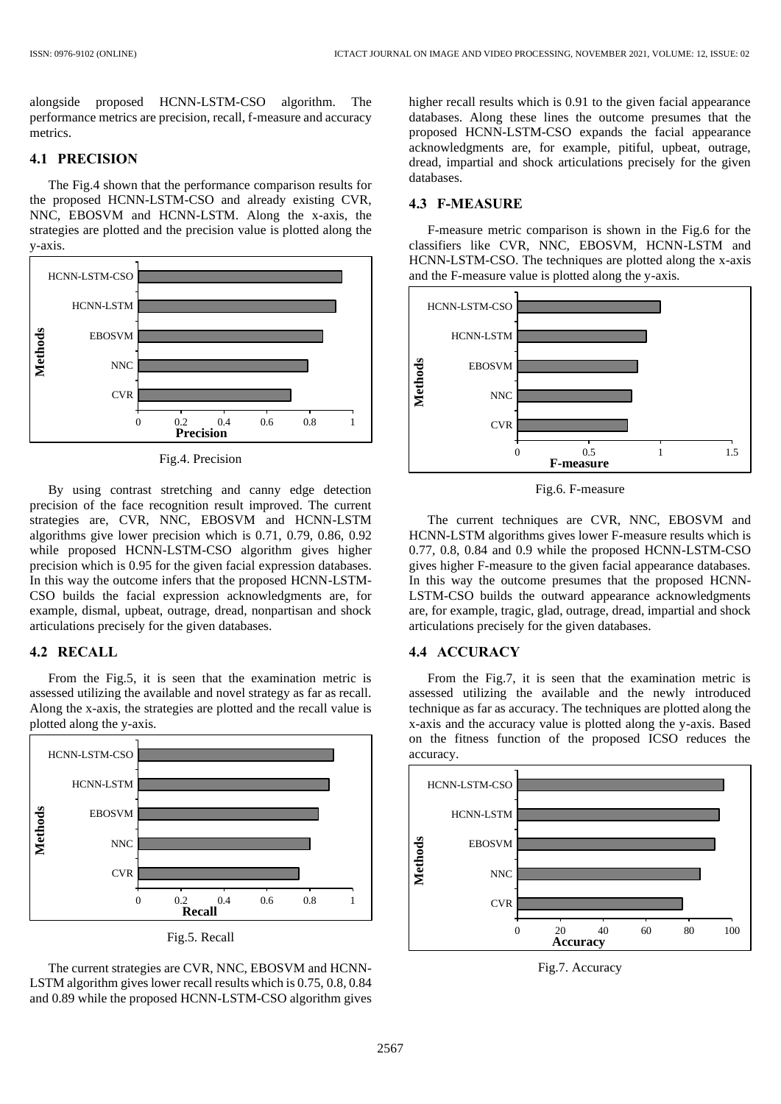alongside proposed HCNN-LSTM-CSO algorithm. The performance metrics are precision, recall, f-measure and accuracy metrics.

## **4.1 PRECISION**

The Fig.4 shown that the performance comparison results for the proposed HCNN-LSTM-CSO and already existing CVR, NNC, EBOSVM and HCNN-LSTM. Along the x-axis, the strategies are plotted and the precision value is plotted along the y-axis.



Fig.4. Precision

By using contrast stretching and canny edge detection precision of the face recognition result improved. The current strategies are, CVR, NNC, EBOSVM and HCNN-LSTM algorithms give lower precision which is 0.71, 0.79, 0.86, 0.92 while proposed HCNN-LSTM-CSO algorithm gives higher precision which is 0.95 for the given facial expression databases. In this way the outcome infers that the proposed HCNN-LSTM-CSO builds the facial expression acknowledgments are, for example, dismal, upbeat, outrage, dread, nonpartisan and shock articulations precisely for the given databases.

## **4.2 RECALL**

From the Fig.5, it is seen that the examination metric is assessed utilizing the available and novel strategy as far as recall. Along the x-axis, the strategies are plotted and the recall value is plotted along the y-axis.



The current strategies are CVR, NNC, EBOSVM and HCNN-LSTM algorithm gives lower recall results which is 0.75, 0.8, 0.84 and 0.89 while the proposed HCNN-LSTM-CSO algorithm gives higher recall results which is 0.91 to the given facial appearance databases. Along these lines the outcome presumes that the proposed HCNN-LSTM-CSO expands the facial appearance acknowledgments are, for example, pitiful, upbeat, outrage, dread, impartial and shock articulations precisely for the given databases.

## **4.3 F-MEASURE**

F-measure metric comparison is shown in the Fig.6 for the classifiers like CVR, NNC, EBOSVM, HCNN-LSTM and HCNN-LSTM-CSO. The techniques are plotted along the x-axis and the F-measure value is plotted along the y-axis.



Fig.6. F-measure

The current techniques are CVR, NNC, EBOSVM and HCNN-LSTM algorithms gives lower F-measure results which is 0.77, 0.8, 0.84 and 0.9 while the proposed HCNN-LSTM-CSO gives higher F-measure to the given facial appearance databases. In this way the outcome presumes that the proposed HCNN-LSTM-CSO builds the outward appearance acknowledgments are, for example, tragic, glad, outrage, dread, impartial and shock articulations precisely for the given databases.

# **4.4 ACCURACY**

From the Fig.7, it is seen that the examination metric is assessed utilizing the available and the newly introduced technique as far as accuracy. The techniques are plotted along the x-axis and the accuracy value is plotted along the y-axis. Based on the fitness function of the proposed ICSO reduces the accuracy.



Fig.7. Accuracy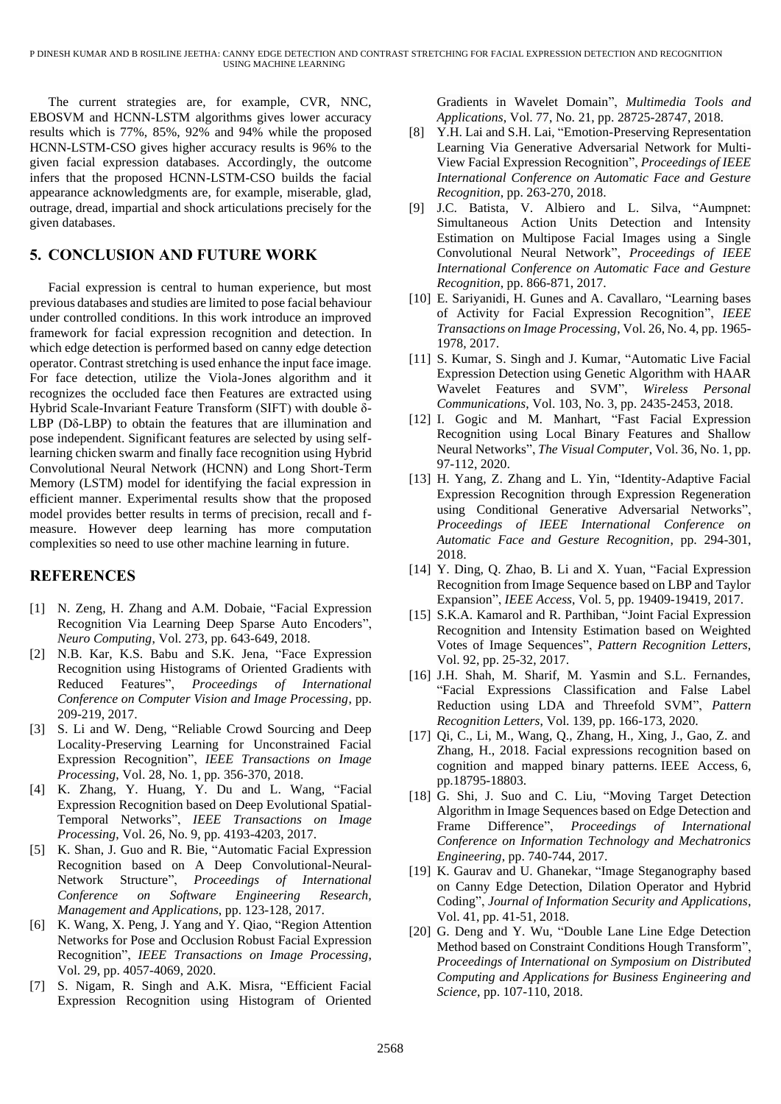The current strategies are, for example, CVR, NNC, EBOSVM and HCNN-LSTM algorithms gives lower accuracy results which is 77%, 85%, 92% and 94% while the proposed HCNN-LSTM-CSO gives higher accuracy results is 96% to the given facial expression databases. Accordingly, the outcome infers that the proposed HCNN-LSTM-CSO builds the facial appearance acknowledgments are, for example, miserable, glad, outrage, dread, impartial and shock articulations precisely for the given databases.

# **5. CONCLUSION AND FUTURE WORK**

Facial expression is central to human experience, but most previous databases and studies are limited to pose facial behaviour under controlled conditions. In this work introduce an improved framework for facial expression recognition and detection. In which edge detection is performed based on canny edge detection operator. Contrast stretching is used enhance the input face image. For face detection, utilize the Viola-Jones algorithm and it recognizes the occluded face then Features are extracted using Hybrid Scale-Invariant Feature Transform (SIFT) with double δ-LBP (Dδ-LBP) to obtain the features that are illumination and pose independent. Significant features are selected by using selflearning chicken swarm and finally face recognition using Hybrid Convolutional Neural Network (HCNN) and Long Short-Term Memory (LSTM) model for identifying the facial expression in efficient manner. Experimental results show that the proposed model provides better results in terms of precision, recall and fmeasure. However deep learning has more computation complexities so need to use other machine learning in future.

# **REFERENCES**

- [1] N. Zeng, H. Zhang and A.M. Dobaie, "Facial Expression Recognition Via Learning Deep Sparse Auto Encoders", *Neuro Computing*, Vol. 273, pp. 643-649, 2018.
- [2] N.B. Kar, K.S. Babu and S.K. Jena, "Face Expression Recognition using Histograms of Oriented Gradients with Reduced Features", *Proceedings of International Conference on Computer Vision and Image Processing*, pp. 209-219, 2017.
- [3] S. Li and W. Deng, "Reliable Crowd Sourcing and Deep Locality-Preserving Learning for Unconstrained Facial Expression Recognition", *IEEE Transactions on Image Processing*, Vol. 28, No. 1, pp. 356-370, 2018.
- [4] K. Zhang, Y. Huang, Y. Du and L. Wang, "Facial Expression Recognition based on Deep Evolutional Spatial-Temporal Networks", *IEEE Transactions on Image Processing*, Vol. 26, No. 9, pp. 4193-4203, 2017.
- [5] K. Shan, J. Guo and R. Bie, "Automatic Facial Expression Recognition based on A Deep Convolutional-Neural-Network Structure", *Proceedings of International Conference on Software Engineering Research, Management and Applications*, pp. 123-128, 2017.
- [6] K. Wang, X. Peng, J. Yang and Y. Qiao, "Region Attention Networks for Pose and Occlusion Robust Facial Expression Recognition", *IEEE Transactions on Image Processing*, Vol. 29, pp. 4057-4069, 2020.
- [7] S. Nigam, R. Singh and A.K. Misra, "Efficient Facial Expression Recognition using Histogram of Oriented

Gradients in Wavelet Domain", *Multimedia Tools and Applications*, Vol. 77, No. 21, pp. 28725-28747, 2018.

- [8] Y.H. Lai and S.H. Lai, "Emotion-Preserving Representation Learning Via Generative Adversarial Network for Multi-View Facial Expression Recognition", *Proceedings of IEEE International Conference on Automatic Face and Gesture Recognition*, pp. 263-270, 2018.
- [9] J.C. Batista, V. Albiero and L. Silva, "Aumpnet: Simultaneous Action Units Detection and Intensity Estimation on Multipose Facial Images using a Single Convolutional Neural Network", *Proceedings of IEEE International Conference on Automatic Face and Gesture Recognition*, pp. 866-871, 2017.
- [10] E. Sariyanidi, H. Gunes and A. Cavallaro, "Learning bases of Activity for Facial Expression Recognition", *IEEE Transactions on Image Processing*, Vol. 26, No. 4, pp. 1965- 1978, 2017.
- [11] S. Kumar, S. Singh and J. Kumar, "Automatic Live Facial Expression Detection using Genetic Algorithm with HAAR Wavelet Features and SVM", *Wireless Personal Communications*, Vol. 103, No. 3, pp. 2435-2453, 2018.
- [12] I. Gogic and M. Manhart, "Fast Facial Expression Recognition using Local Binary Features and Shallow Neural Networks", *The Visual Computer*, Vol. 36, No. 1, pp. 97-112, 2020.
- [13] H. Yang, Z. Zhang and L. Yin, "Identity-Adaptive Facial Expression Recognition through Expression Regeneration using Conditional Generative Adversarial Networks", *Proceedings of IEEE International Conference on Automatic Face and Gesture Recognition*, pp. 294-301, 2018.
- [14] Y. Ding, Q. Zhao, B. Li and X. Yuan, "Facial Expression" Recognition from Image Sequence based on LBP and Taylor Expansion", *IEEE Access*, Vol. 5, pp. 19409-19419, 2017.
- [15] S.K.A. Kamarol and R. Parthiban, "Joint Facial Expression Recognition and Intensity Estimation based on Weighted Votes of Image Sequences", *Pattern Recognition Letters*, Vol. 92, pp. 25-32, 2017.
- [16] J.H. Shah, M. Sharif, M. Yasmin and S.L. Fernandes, "Facial Expressions Classification and False Label Reduction using LDA and Threefold SVM", *Pattern Recognition Letters*, Vol. 139, pp. 166-173, 2020.
- [17] Qi, C., Li, M., Wang, Q., Zhang, H., Xing, J., Gao, Z. and Zhang, H., 2018. Facial expressions recognition based on cognition and mapped binary patterns. IEEE Access, 6, pp.18795-18803.
- [18] G. Shi, J. Suo and C. Liu, "Moving Target Detection Algorithm in Image Sequences based on Edge Detection and Frame Difference", *Proceedings of International Conference on Information Technology and Mechatronics Engineering*, pp. 740-744, 2017.
- [19] K. Gaurav and U. Ghanekar, "Image Steganography based on Canny Edge Detection, Dilation Operator and Hybrid Coding", *Journal of Information Security and Applications*, Vol. 41, pp. 41-51, 2018.
- [20] G. Deng and Y. Wu, "Double Lane Line Edge Detection Method based on Constraint Conditions Hough Transform", *Proceedings of International on Symposium on Distributed Computing and Applications for Business Engineering and Science*, pp. 107-110, 2018.